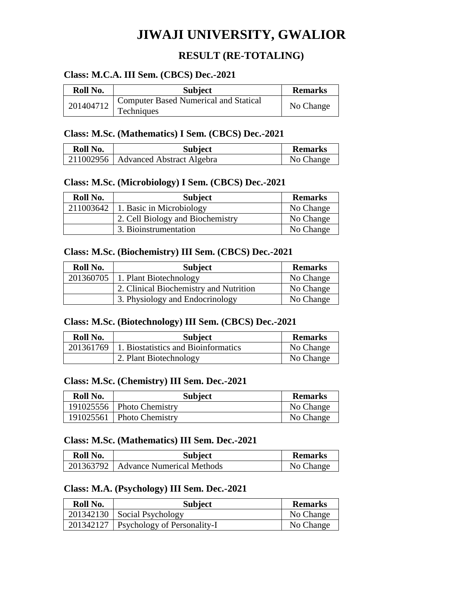# **JIWAJI UNIVERSITY, GWALIOR**

# **RESULT (RE-TOTALING)**

## **Class: M.C.A. III Sem. (CBCS) Dec.-2021**

| Roll No.  | <b>Subject</b>                                                   | <b>Remarks</b> |
|-----------|------------------------------------------------------------------|----------------|
| 201404712 | <sup>1</sup> Computer Based Numerical and Statical<br>Techniques | No Change      |

#### **Class: M.Sc. (Mathematics) I Sem. (CBCS) Dec.-2021**

| Roll No. | <b>Subject</b>                        | <b>Remarks</b> |
|----------|---------------------------------------|----------------|
|          | 211002956   Advanced Abstract Algebra | No Change      |

#### **Class: M.Sc. (Microbiology) I Sem. (CBCS) Dec.-2021**

| Roll No. | <b>Subject</b>                         | <b>Remarks</b> |
|----------|----------------------------------------|----------------|
|          | $211003642$   1. Basic in Microbiology | No Change      |
|          | 2. Cell Biology and Biochemistry       | No Change      |
|          | 3. Bioinstrumentation                  | No Change      |

#### **Class: M.Sc. (Biochemistry) III Sem. (CBCS) Dec.-2021**

| Roll No. | <b>Subject</b>                         | <b>Remarks</b> |
|----------|----------------------------------------|----------------|
|          | $201360705$   1. Plant Biotechnology   | No Change      |
|          | 2. Clinical Biochemistry and Nutrition | No Change      |
|          | 3. Physiology and Endocrinology        | No Change      |

## **Class: M.Sc. (Biotechnology) III Sem. (CBCS) Dec.-2021**

| Roll No. | <b>Subject</b>                                  | <b>Remarks</b> |
|----------|-------------------------------------------------|----------------|
|          | 201361769   1. Biostatistics and Bioinformatics | No Change      |
|          | 2. Plant Biotechnology                          | No Change      |

#### **Class: M.Sc. (Chemistry) III Sem. Dec.-2021**

| Roll No. | <b>Subject</b>              | <b>Remarks</b> |
|----------|-----------------------------|----------------|
|          | 191025556   Photo Chemistry | No Change      |
|          | 191025561   Photo Chemistry | No Change      |

#### **Class: M.Sc. (Mathematics) III Sem. Dec.-2021**

| Roll No. | <b>Subject</b>                        | <b>Remarks</b> |
|----------|---------------------------------------|----------------|
|          | 201363792   Advance Numerical Methods | No Change      |

#### **Class: M.A. (Psychology) III Sem. Dec.-2021**

| Roll No. | <b>Subject</b>                          | <b>Remarks</b> |
|----------|-----------------------------------------|----------------|
|          | $201342130$ Social Psychology           | No Change      |
|          | 201342127   Psychology of Personality-I | No Change      |